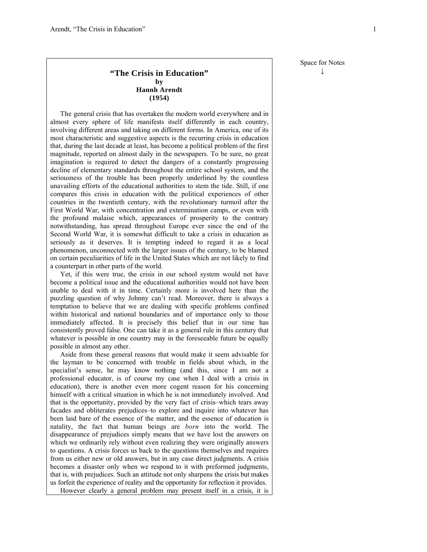Space for Notes ↓

## **"The Crisis in Education" by Hannh Arendt (1954)**

The general crisis that has overtaken the modern world everywhere and in almost every sphere of life manifests itself differently in each country, involving different areas and taking on different forms. In America, one of its most characteristic and suggestive aspects is the recurring crisis in education that, during the last decade at least, has become a political problem of the first magnitude, reported on almost daily in the newspapers. To be sure, no great imagination is required to detect the dangers of a constantly progressing decline of elementary standards throughout the entire school system, and the seriousness of the trouble has been properly underlined by the countless unavailing efforts of the educational authorities to stem the tide. Still, if one compares this crisis in education with the political experiences of other countries in the twentieth century, with the revolutionary turmoil after the First World War, with concentration and extermination camps, or even with the profound malaise which, appearances of prosperity to the contrary notwithstanding, has spread throughout Europe ever since the end of the Second World War, it is somewhat difficult to take a crisis in education as seriously as it deserves. It is tempting indeed to regard it as a local phenomenon, unconnected with the larger issues of the century, to be blamed on certain peculiarities of life in the United States which are not likely to find a counterpart in other parts of the world.

Yet, if this were true, the crisis in our school system would not have become a political issue and the educational authorities would not have been unable to deal with it in time. Certainly more is involved here than the puzzling question of why Johnny can't read. Moreover, there is always a temptation to believe that we are dealing with specific problems confined within historical and national boundaries and of importance only to those immediately affected. It is precisely this belief that in our time has consistently proved false. One can take it as a general rule in this century that whatever is possible in one country may in the foreseeable future be equally possible in almost any other.

Aside from these general reasons that would make it seem advisable for the layman to be concerned with trouble in fields about which, in the specialist's sense, he may know nothing (and this, since I am not a professional educator, is of course my case when I deal with a crisis in education), there is another even more cogent reason for his concerning himself with a critical situation in which he is not immediately involved. And that is the opportunity, provided by the very fact of crisis–which tears away facades and obliterates prejudices–to explore and inquire into whatever has been laid bare of the essence of the matter, and the essence of education is natality, the fact that human beings are *born* into the world. The disappearance of prejudices simply means that we have lost the answers on which we ordinarily rely without even realizing they were originally answers to questions. A crisis forces us back to the questions themselves and requires from us either new or old answers, but in any case direct judgments. A crisis becomes a disaster only when we respond to it with preformed judgments, that is, with prejudices. Such an attitude not only sharpens the crisis but makes us forfeit the experience of reality and the opportunity for reflection it provides.

However clearly a general problem may present itself in a crisis, it is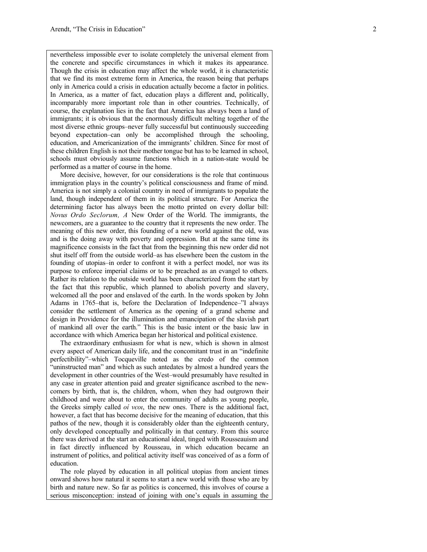nevertheless impossible ever to isolate completely the universal element from the concrete and specific circumstances in which it makes its appearance. Though the crisis in education may affect the whole world, it is characteristic that we find its most extreme form in America, the reason being that perhaps only in America could a crisis in education actually become a factor in politics. In America, as a matter of fact, education plays a different and, politically, incomparably more important role than in other countries. Technically, of course, the explanation lies in the fact that America has always been a land of immigrants; it is obvious that the enormously difficult melting together of the most diverse ethnic groups–never fully successful but continuously succeeding beyond expectation–can only be accomplished through the schooling, education, and Americanization of the immigrants' children. Since for most of these children English is not their mother tongue but has to be learned in school, schools must obviously assume functions which in a nation-state would be performed as a matter of course in the home.

More decisive, however, for our considerations is the role that continuous immigration plays in the country's political consciousness and frame of mind. America is not simply a colonial country in need of immigrants to populate the land, though independent of them in its political structure. For America the determining factor has always been the motto printed on every dollar bill: *Novus Ordo Seclorum, A* New Order of the World. The immigrants, the newcomers, are a guarantee to the country that it represents the new order. The meaning of this new order, this founding of a new world against the old, was and is the doing away with poverty and oppression. But at the same time its magnificence consists in the fact that from the beginning this new order did not shut itself off from the outside world–as has elsewhere been the custom in the founding of utopias–in order to confront it with a perfect model, nor was its purpose to enforce imperial claims or to be preached as an evangel to others. Rather its relation to the outside world has been characterized from the start by the fact that this republic, which planned to abolish poverty and slavery, welcomed all the poor and enslaved of the earth. In the words spoken by John Adams in 1765–that is, before the Declaration of Independence–"I always consider the settlement of America as the opening of a grand scheme and design in Providence for the illumination and emancipation of the slavish part of mankind all over the earth." This is the basic intent or the basic law in accordance with which America began her historical and political existence.

The extraordinary enthusiasm for what is new, which is shown in almost every aspect of American daily life, and the concomitant trust in an "indefinite perfectibility"–which Tocqueville noted as the credo of the common "uninstructed man" and which as such antedates by almost a hundred years the development in other countries of the West–would presumably have resulted in any case in greater attention paid and greater significance ascribed to the newcomers by birth, that is, the children, whom, when they had outgrown their childhood and were about to enter the community of adults as young people, the Greeks simply called *οί νєοι*, the new ones. There is the additional fact, however, a fact that has become decisive for the meaning of education, that this pathos of the new, though it is considerably older than the eighteenth century, only developed conceptually and politically in that century. From this source there was derived at the start an educational ideal, tinged with Rousseauism and in fact directly influenced by Rousseau, in which education became an instrument of politics, and political activity itself was conceived of as a form of education.

The role played by education in all political utopias from ancient times onward shows how natural it seems to start a new world with those who are by birth and nature new. So far as politics is concerned, this involves of course a serious misconception: instead of joining with one's equals in assuming the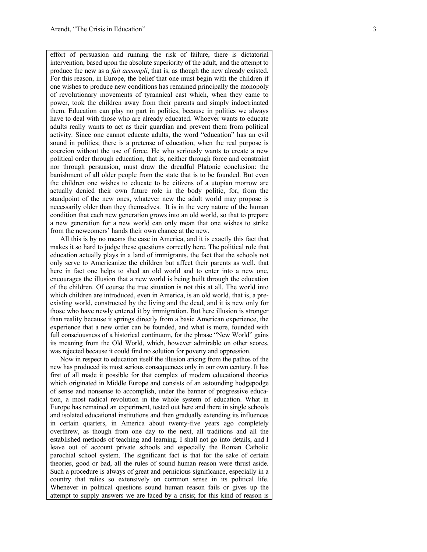effort of persuasion and running the risk of failure, there is dictatorial intervention, based upon the absolute superiority of the adult, and the attempt to produce the new as a *fait accompli*, that is, as though the new already existed. For this reason, in Europe, the belief that one must begin with the children if one wishes to produce new conditions has remained principally the monopoly of revolutionary movements of tyrannical cast which, when they came to power, took the children away from their parents and simply indoctrinated them. Education can play no part in politics, because in politics we always have to deal with those who are already educated. Whoever wants to educate adults really wants to act as their guardian and prevent them from political activity. Since one cannot educate adults, the word "education" has an evil sound in politics; there is a pretense of education, when the real purpose is coercion without the use of force. He who seriously wants to create a new political order through education, that is, neither through force and constraint nor through persuasion, must draw the dreadful Platonic conclusion: the banishment of all older people from the state that is to be founded. But even the children one wishes to educate to be citizens of a utopian morrow are actually denied their own future role in the body politic, for, from the standpoint of the new ones, whatever new the adult world may propose is necessarily older than they themselves. It is in the very nature of the human condition that each new generation grows into an old world, so that to prepare a new generation for a new world can only mean that one wishes to strike from the newcomers' hands their own chance at the new.

All this is by no means the case in America, and it is exactly this fact that makes it so hard to judge these questions correctly here. The political role that education actually plays in a land of immigrants, the fact that the schools not only serve to Americanize the children but affect their parents as well, that here in fact one helps to shed an old world and to enter into a new one, encourages the illusion that a new world is being built through the education of the children. Of course the true situation is not this at all. The world into which children are introduced, even in America, is an old world, that is, a preexisting world, constructed by the living and the dead, and it is new only for those who have newly entered it by immigration. But here illusion is stronger than reality because it springs directly from a basic American experience, the experience that a new order can be founded, and what is more, founded with full consciousness of a historical continuum, for the phrase "New World" gains its meaning from the Old World, which, however admirable on other scores, was rejected because it could find no solution for poverty and oppression.

Now in respect to education itself the illusion arising from the pathos of the new has produced its most serious consequences only in our own century. It has first of all made it possible for that complex of modern educational theories which originated in Middle Europe and consists of an astounding hodgepodge of sense and nonsense to accomplish, under the banner of progressive education, a most radical revolution in the whole system of education. What in Europe has remained an experiment, tested out here and there in single schools and isolated educational institutions and then gradually extending its influences in certain quarters, in America about twenty-five years ago completely overthrew, as though from one day to the next, all traditions and all the established methods of teaching and learning. I shall not go into details, and I leave out of account private schools and especially the Roman Catholic parochial school system. The significant fact is that for the sake of certain theories, good or bad, all the rules of sound human reason were thrust aside. Such a procedure is always of great and pernicious significance, especially in a country that relies so extensively on common sense in its political life. Whenever in political questions sound human reason fails or gives up the attempt to supp l y answers we are faced b y a crisis; for this kind of reason is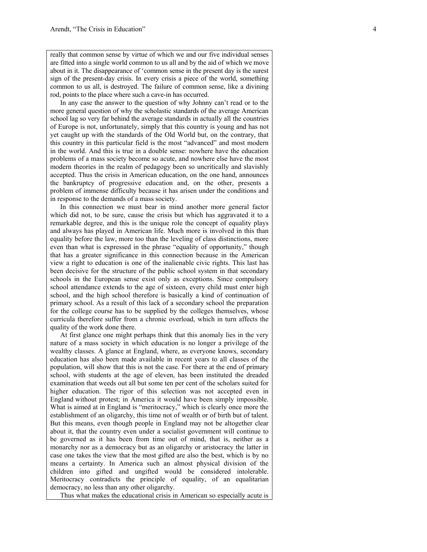really that common sense by virtue of which we and our five individual senses are fitted into a single world common to us all and by the aid of which we move about in it. The disappearance of 'common sense in the present day is the surest sign of the present-day crisis. In every crisis a piece of the world, something common to us all, is destroyed. The failure of common sense, like a divining rod, points to the place where such a cave-in has occurred.

In any case the answer to the question of why Johnny can't read or to the more general question of why the scholastic standards of the average American school lag so very far behind the average standards in actually all the countries of Europe is not, unfortunately, simply that this country is young and has not yet caught up with the standards of the Old World but, on the contrary, that this country in this particular field is the most "advanced" and most modern in the world. And this is true in a double sense: nowhere have the education problems of a mass society become so acute, and nowhere else have the most modern theories in the realm of pedagogy been so uncritically and slavishly accepted. Thus the crisis in American education, on the one hand, announces the bankruptcy of progressive education and, on the other, presents a problem of immense difficulty because it has arisen under the conditions and in response to the demands of a mass society.

In this connection we must bear in mind another more general factor which did not, to be sure, cause the crisis but which has aggravated it to a remarkable degree, and this is the unique role the concept of equality plays and always has played in American life. Much more is involved in this than equality before the law, more too than the leveling of class distinctions, more even than what is expressed in the phrase "equality of opportunity," though that has a greater significance in this connection because in the American view a right to education is one of the inalienable civic rights. This last has been decisive for the structure of the public school system in that secondary schools in the European sense exist only as exceptions. Since compulsory school attendance extends to the age of sixteen, every child must enter high school, and the high school therefore is basically a kind of continuation of primary school. As a result of this lack of a secondary school the preparation for the college course has to be supplied by the colleges themselves, whose curricula therefore suffer from a chronic overload, which in turn affects the quality of the work done there.

At first glance one might perhaps think that this anomaly lies in the very nature of a mass society in which education is no longer a privilege of the wealthy classes. A glance at England, where, as everyone knows, secondary education has also been made available in recent years to all classes of the population, will show that this is not the case. For there at the end of primary school, with students at the age of eleven, has been instituted the dreaded examination that weeds out all but some ten per cent of the scholars suited for higher education. The rigor of this selection was not accepted even in England without protest; in America it would have been simply impossible. What is aimed at in England is "meritocracy," which is clearly once more the establishment of an oligarchy, this time not of wealth or of birth but of talent. But this means, even though people in England may not be altogether clear about it, that the country even under a socialist government will continue to be governed as it has been from time out of mind, that is, neither as a monarchy nor as a democracy but as an oligarchy or aristocracy the latter in case one takes the view that the most gifted are also the best, which is by no means a certainty. In America such an almost physical division of the children into gifted and ungifted would be considered intolerable. Meritocracy contradicts the principle of equality, of an equalitarian democracy, no less than any other oligarchy.

Thus what makes the educational crisis in American so es peciall y acute is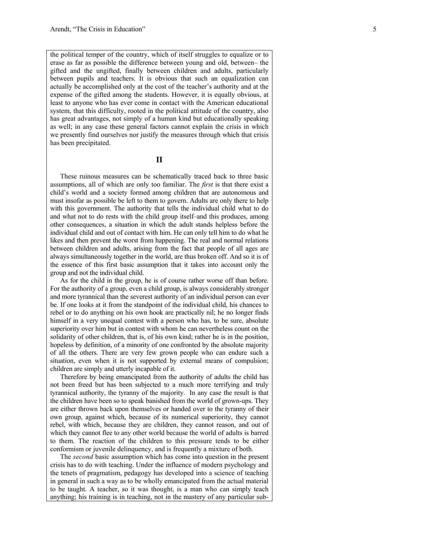the political temper of the country, which of itself struggles to equalize or to erase as far as possible the difference between young and old, between– the gifted and the ungifted, finally between children and adults, particularly between pupils and teachers. It is obvious that such an equalization can actually be accomplished only at the cost of the teacher's authority and at the expense of the gifted among the students. However, it is equally obvious, at least to anyone who has ever come in contact with the American educational system, that this difficulty, rooted in the political attitude of the country, also has great advantages, not simply of a human kind but educationally speaking as well; in any case these general factors cannot explain the crisis in which we presently find ourselves nor justify the measures through which that crisis has been precipitated.

**II** 

These ruinous measures can be schematically traced back to three basic assumptions, all of which are only too familiar. The *first* is that there exist a child's world and a society formed among children that are autonomous and must insofar as possible be left to them to govern. Adults are only there to help with this government. The authority that tells the individual child what to do and what not to do rests with the child group itself–and this produces, among other consequences, a situation in which the adult stands helpless before the individual child and out of contact with him. He can only tell him to do what he likes and then prevent the worst from happening. The real and normal relations between children and adults, arising from the fact that people of all ages are always simultaneously together in the world, are thus broken off. And so it is of the essence of this first basic assumption that it takes into account only the group and not the individual child.

As for the child in the group, he is of course rather worse off than before. For the authority of a group, even a child group, is always considerably stronger and more tyrannical than the severest authority of an individual person can ever be. If one looks at it from the standpoint of the individual child, his chances to rebel or to do anything on his own hook are practically nil; he no longer finds himself in a very unequal contest with a person who has, to be sure, absolute superiority over him but in contest with whom he can nevertheless count on the solidarity of other children, that is, of his own kind; rather he is in the position, hopeless by definition, of a minority of one confronted by the absolute majority of all the others. There are very few grown people who can endure such a situation, even when it is not supported by external means of compulsion; children are simply and utterly incapable of it.

Therefore by being emancipated from the authority of adults the child has not been freed but has been subjected to a much more terrifying and truly tyrannical authority, the tyranny of the majority. In any case the result is that the children have been so to speak banished from the world of grown-ups. They are either thrown back upon themselves or handed over to the tyranny of their own group, against which, because of its numerical superiority, they cannot rebel, with which, because they are children, they cannot reason, and out of which they cannot flee to any other world because the world of adults is barred to them. The reaction of the children to this pressure tends to be either conformism or juvenile delinquency, and is frequently a mixture of both.

The *second* basic assumption which has come into question in the present crisis has to do with teaching. Under the influence of modern psychology and the tenets of pragmatism, pedagogy has developed into a science of teaching in general in such a way as to be wholly emancipated from the actual material to be taught. A teacher, so it was thought, is a man who can simply teach anything; his training is in teaching, not in the mastery of any particular sub-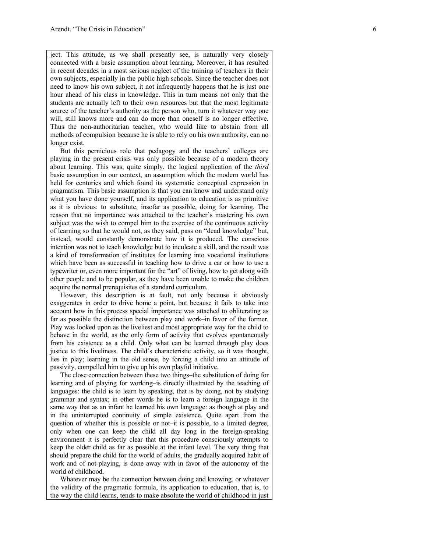ject. This attitude, as we shall presently see, is naturally very closely connected with a basic assumption about learning. Moreover, it has resulted in recent decades in a most serious neglect of the training of teachers in their own subjects, especially in the public high schools. Since the teacher does not need to know his own subject, it not infrequently happens that he is just one hour ahead of his class in knowledge. This in turn means not only that the students are actually left to their own resources but that the most legitimate source of the teacher's authority as the person who, turn it whatever way one will, still knows more and can do more than oneself is no longer effective. Thus the non-authoritarian teacher, who would like to abstain from all methods of compulsion because he is able to rely on his own authority, can no longer exist.

But this pernicious role that pedagogy and the teachers' colleges are playing in the present crisis was only possible because of a modern theory about learning. This was, quite simply, the logical application of the *third*  basic assumption in our context, an assumption which the modern world has held for centuries and which found its systematic conceptual expression in pragmatism. This basic assumption is that you can know and understand only what you have done yourself, and its application to education is as primitive as it is obvious: to substitute, insofar as possible, doing for learning. The reason that no importance was attached to the teacher's mastering his own subject was the wish to compel him to the exercise of the continuous activity of learning so that he would not, as they said, pass on "dead knowledge" but, instead, would constantly demonstrate how it is produced. The conscious intention was not to teach knowledge but to inculcate a skill, and the result was a kind of transformation of institutes for learning into vocational institutions which have been as successful in teaching how to drive a car or how to use a typewriter or, even more important for the "art" of living, how to get along with other people and to be popular, as they have been unable to make the children acquire the normal prerequisites of a standard curriculum.

However, this description is at fault, not only because it obviously exaggerates in order to drive home a point, but because it fails to take into account how in this process special importance was attached to obliterating as far as possible the distinction between play and work–in favor of the former. Play was looked upon as the liveliest and most appropriate way for the child to behave in the world, as the only form of activity that evolves spontaneously from his existence as a child. Only what can be learned through play does justice to this liveliness. The child's characteristic activity, so it was thought, lies in play; learning in the old sense, by forcing a child into an attitude of passivity, compelled him to give up his own playful initiative.

The close connection between these two things–the substitution of doing for learning and of playing for working–is directly illustrated by the teaching of languages: the child is to learn by speaking, that is by doing, not by studying grammar and syntax; in other words he is to learn a foreign language in the same way that as an infant he learned his own language: as though at play and in the uninterrupted continuity of simple existence. Quite apart from the question of whether this is possible or not–it is possible, to a limited degree, only when one can keep the child all day long in the foreign-speaking environment–it is perfectly clear that this procedure consciously attempts to keep the older child as far as possible at the infant level. The very thing that should prepare the child for the world of adults, the gradually acquired habit of work and of not-playing, is done away with in favor of the autonomy of the world of childhood.

Whatever may be the connection between doing and knowing, or whatever the validity of the pragmatic formula, its application to education, that is, to the wa y the child learns, tends to make absolute the world of childhood in just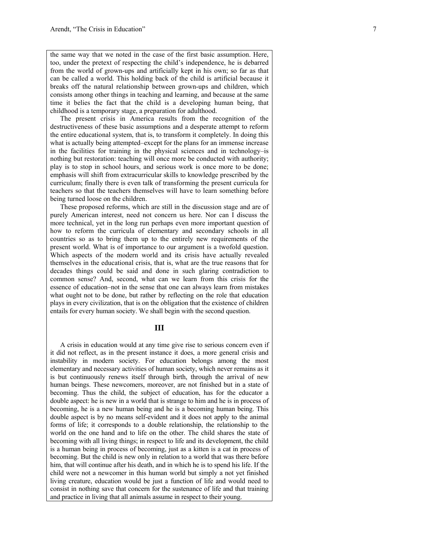the same way that we noted in the case of the first basic assumption. Here, too, under the pretext of respecting the child's independence, he is debarred from the world of grown-ups and artificially kept in his own; so far as that can be called a world. This holding back of the child is artificial because it breaks off the natural relationship between grown-ups and children, which consists among other things in teaching and learning, and because at the same time it belies the fact that the child is a developing human being, that childhood is a temporary stage, a preparation for adulthood.

The present crisis in America results from the recognition of the destructiveness of these basic assumptions and a desperate attempt to reform the entire educational system, that is, to transform it completely. In doing this what is actually being attempted–except for the plans for an immense increase in the facilities for training in the physical sciences and in technology–is nothing but restoration: teaching will once more be conducted with authority; play is to stop in school hours, and serious work is once more to be done; emphasis will shift from extracurricular skills to knowledge prescribed by the curriculum; finally there is even talk of transforming the present curricula for teachers so that the teachers themselves will have to learn something before being turned loose on the children.

These proposed reforms, which are still in the discussion stage and are of purely American interest, need not concern us here. Nor can I discuss the more technical, yet in the long run perhaps even more important question of how to reform the curricula of elementary and secondary schools in all countries so as to bring them up to the entirely new requirements of the present world. What is of importance to our argument is a twofold question. Which aspects of the modern world and its crisis have actually revealed themselves in the educational crisis, that is, what are the true reasons that for decades things could be said and done in such glaring contradiction to common sense? And, second, what can we learn from this crisis for the essence of education–not in the sense that one can always learn from mistakes what ought not to be done, but rather by reflecting on the role that education plays in every civilization, that is on the obligation that the existence of children entails for every human society. We shall begin with the second question.

## **III**

A crisis in education would at any time give rise to serious concern even if it did not reflect, as in the present instance it does, a more general crisis and instability in modern society. For education belongs among the most elementary and necessary activities of human society, which never remains as it is but continuously renews itself through birth, through the arrival of new human beings. These newcomers, moreover, are not finished but in a state of becoming. Thus the child, the subject of education, has for the educator a double aspect: he is new in a world that is strange to him and he is in process of becoming, he is a new human being and he is a becoming human being. This double aspect is by no means self-evident and it does not apply to the animal forms of life; it corresponds to a double relationship, the relationship to the world on the one hand and to life on the other. The child shares the state of becoming with all living things; in respect to life and its development, the child is a human being in process of becoming, just as a kitten is a cat in process of becoming. But the child is new only in relation to a world that was there before him, that will continue after his death, and in which he is to spend his life. If the child were not a newcomer in this human world but simply a not yet finished living creature, education would be just a function of life and would need to consist in nothing save that concern for the sustenance of life and that training and practice in living that all animals assume in respect to their young.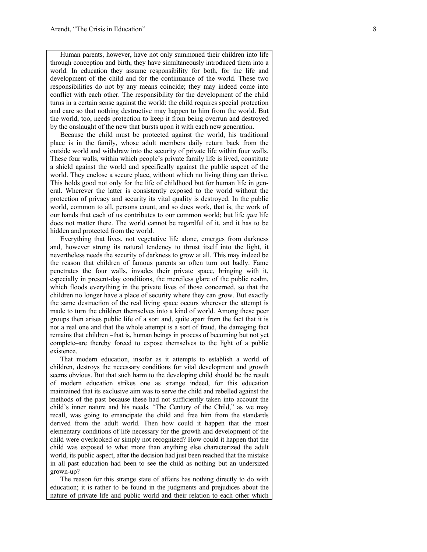Human parents, however, have not only summoned their children into life through conception and birth, they have simultaneously introduced them into a world. In education they assume responsibility for both, for the life and development of the child and for the continuance of the world. These two responsibilities do not by any means coincide; they may indeed come into conflict with each other. The responsibility for the development of the child turns in a certain sense against the world: the child requires special protection and care so that nothing destructive may happen to him from the world. But the world, too, needs protection to keep it from being overrun and destroyed by the onslaught of the new that bursts upon it with each new generation.

Because the child must be protected against the world, his traditional place is in the family, whose adult members daily return back from the outside world and withdraw into the security of private life within four walls. These four walls, within which people's private family life is lived, constitute a shield against the world and specifically against the public aspect of the world. They enclose a secure place, without which no living thing can thrive. This holds good not only for the life of childhood but for human life in general. Wherever the latter is consistently exposed to the world without the protection of privacy and security its vital quality is destroyed. In the public world, common to all, persons count, and so does work, that is, the work of our hands that each of us contributes to our common world; but life *qua* life does not matter there. The world cannot be regardful of it, and it has to be hidden and protected from the world.

Everything that lives, not vegetative life alone, emerges from darkness and, however strong its natural tendency to thrust itself into the light, it nevertheless needs the security of darkness to grow at all. This may indeed be the reason that children of famous parents so often turn out badly. Fame penetrates the four walls, invades their private space, bringing with it, especially in present-day conditions, the merciless glare of the public realm, which floods everything in the private lives of those concerned, so that the children no longer have a place of security where they can grow. But exactly the same destruction of the real living space occurs wherever the attempt is made to turn the children themselves into a kind of world. Among these peer groups then arises public life of a sort and, quite apart from the fact that it is not a real one and that the whole attempt is a sort of fraud, the damaging fact remains that children –that is, human beings in process of becoming but not yet complete–are thereby forced to expose themselves to the light of a public existence.

That modern education, insofar as it attempts to establish a world of children, destroys the necessary conditions for vital development and growth seems obvious. But that such harm to the developing child should be the result of modern education strikes one as strange indeed, for this education maintained that its exclusive aim was to serve the child and rebelled against the methods of the past because these had not sufficiently taken into account the child's inner nature and his needs. "The Century of the Child," as we may recall, was going to emancipate the child and free him from the standards derived from the adult world. Then how could it happen that the most elementary conditions of life necessary for the growth and development of the child were overlooked or simply not recognized? How could it happen that the child was exposed to what more than anything else characterized the adult world, its public aspect, after the decision had just been reached that the mistake in all past education had been to see the child as nothing but an undersized grown-up?

The reason for this strange state of affairs has nothing directly to do with education; it is rather to be found in the judgments and prejudices about the nature of private life and public world and their relation to each other which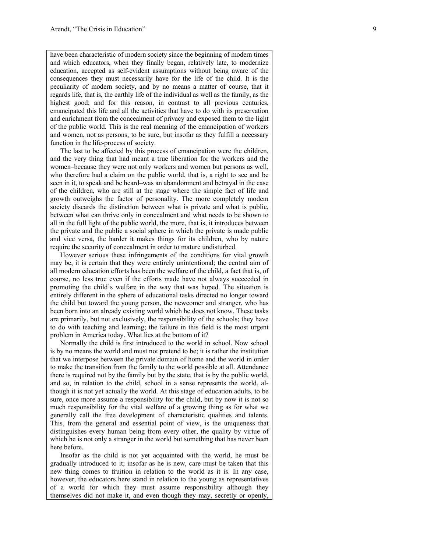have been characteristic of modern society since the beginning of modern times and which educators, when they finally began, relatively late, to modernize education, accepted as self-evident assumptions without being aware of the consequences they must necessarily have for the life of the child. It is the peculiarity of modern society, and by no means a matter of course, that it regards life, that is, the earthly life of the individual as well as the family, as the highest good; and for this reason, in contrast to all previous centuries, emancipated this life and all the activities that have to do with its preservation and enrichment from the concealment of privacy and exposed them to the light of the public world. This is the real meaning of the emancipation of workers and women, not as persons, to be sure, but insofar as they fulfill a necessary function in the life-process of society.

The last to be affected by this process of emancipation were the children, and the very thing that had meant a true liberation for the workers and the women–because they were not only workers and women but persons as well, who therefore had a claim on the public world, that is, a right to see and be seen in it, to speak and be heard–was an abandonment and betrayal in the case of the children, who are still at the stage where the simple fact of life and growth outweighs the factor of personality. The more completely modem society discards the distinction between what is private and what is public, between what can thrive only in concealment and what needs to be shown to all in the full light of the public world, the more, that is, it introduces between the private and the public a social sphere in which the private is made public and vice versa, the harder it makes things for its children, who by nature require the security of concealment in order to mature undisturbed.

However serious these infringements of the conditions for vital growth may be, it is certain that they were entirely unintentional; the central aim of all modern education efforts has been the welfare of the child, a fact that is, of course, no less true even if the efforts made have not always succeeded in promoting the child's welfare in the way that was hoped. The situation is entirely different in the sphere of educational tasks directed no longer toward the child but toward the young person, the newcomer and stranger, who has been born into an already existing world which he does not know. These tasks are primarily, but not exclusively, the responsibility of the schools; they have to do with teaching and learning; the failure in this field is the most urgent problem in America today. What lies at the bottom of it?

Normally the child is first introduced to the world in school. Now school is by no means the world and must not pretend to be; it is rather the institution that we interpose between the private domain of home and the world in order to make the transition from the family to the world possible at all. Attendance there is required not by the family but by the state, that is by the public world, and so, in relation to the child, school in a sense represents the world, although it is not yet actually the world. At this stage of education adults, to be sure, once more assume a responsibility for the child, but by now it is not so much responsibility for the vital welfare of a growing thing as for what we generally call the free development of characteristic qualities and talents. This, from the general and essential point of view, is the uniqueness that distinguishes every human being from every other, the quality by virtue of which he is not only a stranger in the world but something that has never been here before.

Insofar as the child is not yet acquainted with the world, he must be gradually introduced to it; insofar as he is new, care must be taken that this new thing comes to fruition in relation to the world as it is. In any case, however, the educators here stand in relation to the young as representatives of a world for which they must assume responsibility although they themselves did not make it, and even though they may, secretly or openly,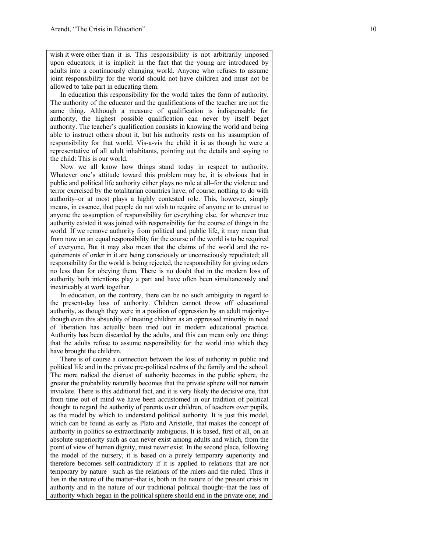wish it were other than it is. This responsibility is not arbitrarily imposed upon educators; it is implicit in the fact that the young are introduced by adults into a continuously changing world. Anyone who refuses to assume joint responsibility for the world should not have children and must not be allowed to take part in educating them.

In education this responsibility for the world takes the form of authority. The authority of the educator and the qualifications of the teacher are not the same thing. Although a measure of qualification is indispensable for authority, the highest possible qualification can never by itself beget authority. The teacher's qualification consists in knowing the world and being able to instruct others about it, but his authority rests on his assumption of responsibility for that world. Vis-a-vis the child it is as though he were a representative of all adult inhabitants, pointing out the details and saying to the child: This is our world.

Now we all know how things stand today in respect to authority. Whatever one's attitude toward this problem may be, it is obvious that in public and political life authority either plays no role at all–for the violence and terror exercised by the totalitarian countries have, of course, nothing to do with authority–or at most plays a highly contested role. This, however, simply means, in essence, that people do not wish to require of anyone or to entrust to anyone the assumption of responsibility for everything else, for wherever true authority existed it was joined with responsibility for the course of things in the world. If we remove authority from political and public life, it may mean that from now on an equal responsibility for the course of the world is to be required of everyone. But it may also mean that the claims of the world and the requirements of order in it are being consciously or unconsciously repudiated; all responsibility for the world is being rejected, the responsibility for giving orders no less than for obeying them. There is no doubt that in the modern loss of authority both intentions play a part and have often been simultaneously and inextricably at work together.

In education, on the contrary, there can be no such ambiguity in regard to the present-day loss of authority. Children cannot throw off educational authority, as though they were in a position of oppression by an adult majority– though even this absurdity of treating children as an oppressed minority in need of liberation has actually been tried out in modern educational practice. Authority has been discarded by the adults, and this can mean only one thing: that the adults refuse to assume responsibility for the world into which they have brought the children.

There is of course a connection between the loss of authority in public and political life and in the private pre-political realms of the family and the school. The more radical the distrust of authority becomes in the public sphere, the greater the probability naturally becomes that the private sphere will not remain inviolate. There is this additional fact, and it is very likely the decisive one, that from time out of mind we have been accustomed in our tradition of political thought to regard the authority of parents over children, of teachers over pupils, as the model by which to understand political authority. It is just this model, which can be found as early as Plato and Aristotle, that makes the concept of authority in politics so extraordinarily ambiguous. It is based, first of all, on an absolute superiority such as can never exist among adults and which, from the point of view of human dignity, must never exist. In the second place, following the model of the nursery, it is based on a purely temporary superiority and therefore becomes self-contradictory if it is applied to relations that are not temporary by nature –such as the relations of the rulers and the ruled. Thus it lies in the nature of the matter–that is, both in the nature of the present crisis in authority and in the nature of our traditional political thought–that the loss of authority which be gan in the political s phere should end in the private one; and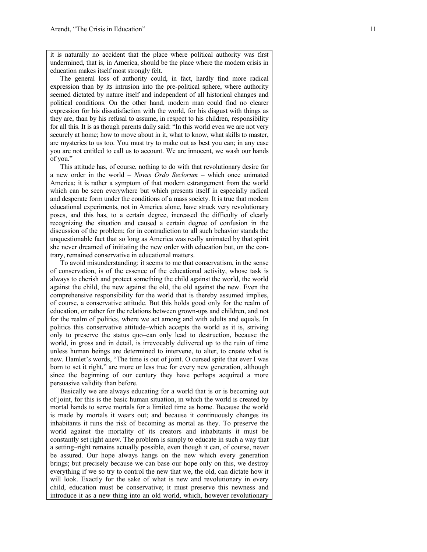it is naturally no accident that the place where political authority was first undermined, that is, in America, should be the place where the modem crisis in education makes itself most strongly felt.

The general loss of authority could, in fact, hardly find more radical expression than by its intrusion into the pre-political sphere, where authority seemed dictated by nature itself and independent of all historical changes and political conditions. On the other hand, modern man could find no clearer expression for his dissatisfaction with the world, for his disgust with things as they are, than by his refusal to assume, in respect to his children, responsibility for all this. It is as though parents daily said: "In this world even we are not very securely at home; how to move about in it, what to know, what skills to master, are mysteries to us too. You must try to make out as best you can; in any case you are not entitled to call us to account. We are innocent, we wash our hands of you."

This attitude has, of course, nothing to do with that revolutionary desire for a new order in the world – *Novus Ordo Seclorum* – which once animated America; it is rather a symptom of that modern estrangement from the world which can be seen everywhere but which presents itself in especially radical and desperate form under the conditions of a mass society. It is true that modem educational experiments, not in America alone, have struck very revolutionary poses, and this has, to a certain degree, increased the difficulty of clearly recognizing the situation and caused a certain degree of confusion in the discussion of the problem; for in contradiction to all such behavior stands the unquestionable fact that so long as America was really animated by that spirit she never dreamed of initiating the new order with education but, on the contrary, remained conservative in educational matters.

To avoid misunderstanding: it seems to me that conservatism, in the sense of conservation, is of the essence of the educational activity, whose task is always to cherish and protect something the child against the world, the world against the child, the new against the old, the old against the new. Even the comprehensive responsibility for the world that is thereby assumed implies, of course, a conservative attitude. But this holds good only for the realm of education, or rather for the relations between grown-ups and children, and not for the realm of politics, where we act among and with adults and equals. In politics this conservative attitude–which accepts the world as it is, striving only to preserve the status quo–can only lead to destruction, because the world, in gross and in detail, is irrevocably delivered up to the ruin of time unless human beings are determined to intervene, to alter, to create what is new. Hamlet's words, "The time is out of joint. O cursed spite that ever I was born to set it right," are more or less true for every new generation, although since the beginning of our century they have perhaps acquired a more persuasive validity than before.

Basically we are always educating for a world that is or is becoming out of joint, for this is the basic human situation, in which the world is created by mortal hands to serve mortals for a limited time as home. Because the world is made by mortals it wears out; and because it continuously changes its inhabitants it runs the risk of becoming as mortal as they. To preserve the world against the mortality of its creators and inhabitants it must be constantly set right anew. The problem is simply to educate in such a way that a setting–right remains actually possible, even though it can, of course, never be assured. Our hope always hangs on the new which every generation brings; but precisely because we can base our hope only on this, we destroy everything if we so try to control the new that we, the old, can dictate how it will look. Exactly for the sake of what is new and revolutionary in every child, education must be conservative; it must preserve this newness and introduce it as a new thing into an old world, which, however revolutionary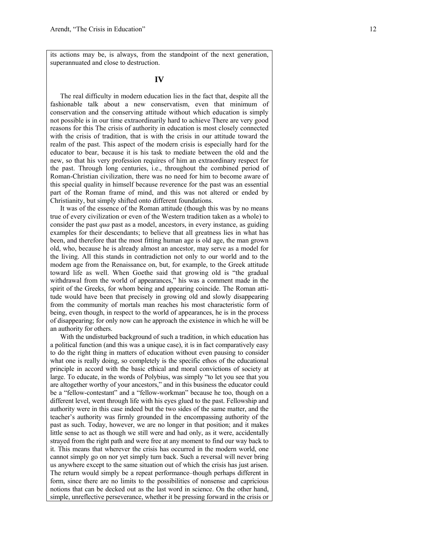its actions may be, is always, from the standpoint of the next generation, superannuated and close to destruction.

## **IV**

The real difficulty in modern education lies in the fact that, despite all the fashionable talk about a new conservatism, even that minimum of conservation and the conserving attitude without which education is simply not possible is in our time extraordinarily hard to achieve There are very good reasons for this The crisis of authority in education is most closely connected with the crisis of tradition, that is with the crisis in our attitude toward the realm of the past. This aspect of the modern crisis is especially hard for the educator to bear, because it is his task to mediate between the old and the new, so that his very profession requires of him an extraordinary respect for the past. Through long centuries, i.e., throughout the combined period of Roman-Christian civilization, there was no need for him to become aware of this special quality in himself because reverence for the past was an essential part of the Roman frame of mind, and this was not altered or ended by Christianity, but simply shifted onto different foundations.

It was of the essence of the Roman attitude (though this was by no means true of every civilization or even of the Western tradition taken as a whole) to consider the past *qua* past as a model, ancestors, in every instance, as guiding examples for their descendants; to believe that all greatness lies in what has been, and therefore that the most fitting human age is old age, the man grown old, who, because he is already almost an ancestor, may serve as a model for the living. All this stands in contradiction not only to our world and to the modem age from the Renaissance on, but, for example, to the Greek attitude toward life as well. When Goethe said that growing old is "the gradual withdrawal from the world of appearances," his was a comment made in the spirit of the Greeks, for whom being and appearing coincide. The Roman attitude would have been that precisely in growing old and slowly disappearing from the community of mortals man reaches his most characteristic form of being, even though, in respect to the world of appearances, he is in the process of disappearing; for only now can he approach the existence in which he will be an authority for others.

With the undisturbed background of such a tradition, in which education has a political function (and this was a unique case), it is in fact comparatively easy to do the right thing in matters of education without even pausing to consider what one is really doing, so completely is the specific ethos of the educational principle in accord with the basic ethical and moral convictions of society at large. To educate, in the words of Polybius, was simply "to let you see that you are altogether worthy of your ancestors," and in this business the educator could be a "fellow-contestant" and a "fellow-workman" because he too, though on a different level, went through life with his eyes glued to the past. Fellowship and authority were in this case indeed but the two sides of the same matter, and the teacher's authority was firmly grounded in the encompassing authority of the past as such. Today, however, we are no longer in that position; and it makes little sense to act as though we still were and had only, as it were, accidentally strayed from the right path and were free at any moment to find our way back to it. This means that wherever the crisis has occurred in the modern world, one cannot simply go on nor yet simply turn back. Such a reversal will never bring us anywhere except to the same situation out of which the crisis has just arisen. The return would simply be a repeat performance–though perhaps different in form, since there are no limits to the possibilities of nonsense and capricious notions that can be decked out as the last word in science. On the other hand, simple, unreflective perseverance, whether it be pressin g forward in the crisis or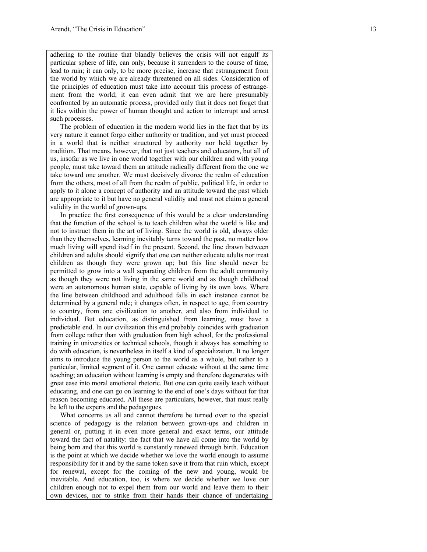adhering to the routine that blandly believes the crisis will not engulf its particular sphere of life, can only, because it surrenders to the course of time, lead to ruin; it can only, to be more precise, increase that estrangement from the world by which we are already threatened on all sides. Consideration of the principles of education must take into account this process of estrangement from the world; it can even admit that we are here presumably confronted by an automatic process, provided only that it does not forget that it lies within the power of human thought and action to interrupt and arrest such processes.

The problem of education in the modern world lies in the fact that by its very nature it cannot forgo either authority or tradition, and yet must proceed in a world that is neither structured by authority nor held together by tradition. That means, however, that not just teachers and educators, but all of us, insofar as we live in one world together with our children and with young people, must take toward them an attitude radically different from the one we take toward one another. We must decisively divorce the realm of education from the others, most of all from the realm of public, political life, in order to apply to it alone a concept of authority and an attitude toward the past which are appropriate to it but have no general validity and must not claim a general validity in the world of grown-ups.

In practice the first consequence of this would be a clear understanding that the function of the school is to teach children what the world is like and not to instruct them in the art of living. Since the world is old, always older than they themselves, learning inevitably turns toward the past, no matter how much living will spend itself in the present. Second, the line drawn between children and adults should signify that one can neither educate adults nor treat children as though they were grown up; but this line should never be permitted to grow into a wall separating children from the adult community as though they were not living in the same world and as though childhood were an autonomous human state, capable of living by its own laws. Where the line between childhood and adulthood falls in each instance cannot be determined by a general rule; it changes often, in respect to age, from country to country, from one civilization to another, and also from individual to individual. But education, as distinguished from learning, must have a predictable end. In our civilization this end probably coincides with graduation from college rather than with graduation from high school, for the professional training in universities or technical schools, though it always has something to do with education, is nevertheless in itself a kind of specialization. It no longer aims to introduce the young person to the world as a whole, but rather to a particular, limited segment of it. One cannot educate without at the same time teaching; an education without learning is empty and therefore degenerates with great ease into moral emotional rhetoric. But one can quite easily teach without educating, and one can go on learning to the end of one's days without for that reason becoming educated. All these are particulars, however, that must really be left to the experts and the pedagogues.

What concerns us all and cannot therefore be turned over to the special science of pedagogy is the relation between grown-ups and children in general or, putting it in even more general and exact terms, our attitude toward the fact of natality: the fact that we have all come into the world by being born and that this world is constantly renewed through birth. Education is the point at which we decide whether we love the world enough to assume responsibility for it and by the same token save it from that ruin which, except for renewal, except for the coming of the new and young, would be inevitable. And education, too, is where we decide whether we love our children enough not to expel them from our world and leave them to their own devices, nor to strike from their hands their chance of undertakin g